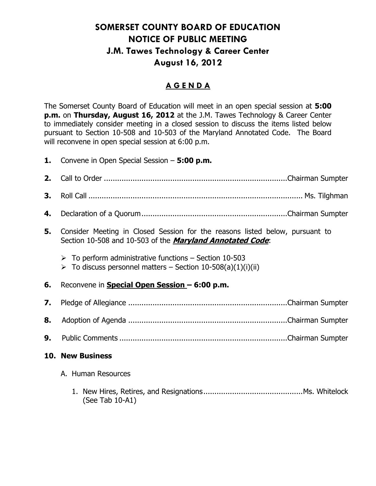## **SOMERSET COUNTY BOARD OF EDUCATION NOTICE OF PUBLIC MEETING J.M. Tawes Technology & Career Center August 16, 2012**

## **A G E N D A**

The Somerset County Board of Education will meet in an open special session at **5:00 p.m.** on **Thursday, August 16, 2012** at the J.M. Tawes Technology & Career Center to immediately consider meeting in a closed session to discuss the items listed below pursuant to Section 10-508 and 10-503 of the Maryland Annotated Code. The Board will reconvene in open special session at 6:00 p.m.

|    | <b>1.</b> Convene in Open Special Session – <b>5:00 p.m.</b>                                                                                         |
|----|------------------------------------------------------------------------------------------------------------------------------------------------------|
| 2. |                                                                                                                                                      |
| 3. |                                                                                                                                                      |
| 4. |                                                                                                                                                      |
| 5. | Consider Meeting in Closed Session for the reasons listed below, pursuant to<br>Section 10-508 and 10-503 of the <i>Maryland Annotated Code</i> :    |
|    | $\triangleright$ To perform administrative functions – Section 10-503<br>$\triangleright$ To discuss personnel matters – Section 10-508(a)(1)(i)(ii) |
| 6. | Reconvene in <b>Special Open Session - 6:00 p.m.</b>                                                                                                 |
| 7. |                                                                                                                                                      |
| 8. |                                                                                                                                                      |
| 9. |                                                                                                                                                      |
|    | <b>10. New Business</b>                                                                                                                              |
|    | A. Human Resources                                                                                                                                   |
|    |                                                                                                                                                      |

(See Tab 10-A1)